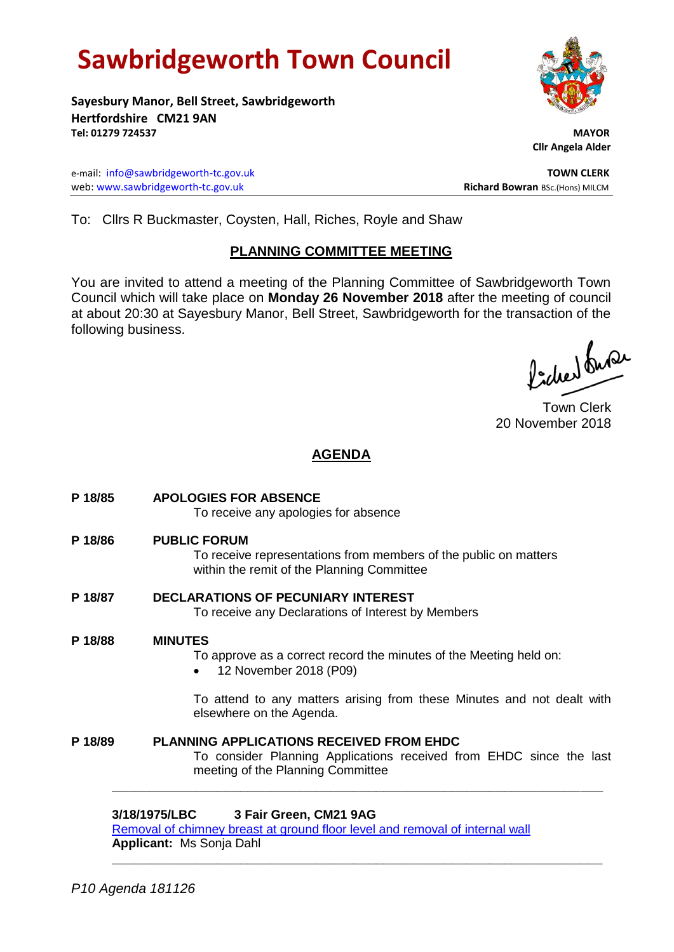# **Sawbridgeworth Town Council**

**Sayesbury Manor, Bell Street, Sawbridgeworth Hertfordshire CM21 9AN Tel: 01279 724537 MAYOR**

e-mail: [info@sawbridgeworth-tc.gov.uk](mailto:info@sawbridgeworth-tc.gov.uk) **TOWN CLERK** web: www.sawbridgeworth-tc.gov.uk **Richard Bowran** BSc.(Hons) MILCM

 **Cllr Angela Alder**

To: Cllrs R Buckmaster, Coysten, Hall, Riches, Royle and Shaw

### **PLANNING COMMITTEE MEETING**

You are invited to attend a meeting of the Planning Committee of Sawbridgeworth Town Council which will take place on **Monday 26 November 2018** after the meeting of council at about 20:30 at Sayesbury Manor, Bell Street, Sawbridgeworth for the transaction of the following business.

Picked fuse

Town Clerk 20 November 2018

## **AGENDA**

| P 18/85 | <b>APOLOGIES FOR ABSENCE</b><br>To receive any apologies for absence                                                                                        |
|---------|-------------------------------------------------------------------------------------------------------------------------------------------------------------|
| P 18/86 | <b>PUBLIC FORUM</b><br>To receive representations from members of the public on matters<br>within the remit of the Planning Committee                       |
| P 18/87 | <b>DECLARATIONS OF PECUNIARY INTEREST</b><br>To receive any Declarations of Interest by Members                                                             |
| P 18/88 | <b>MINUTES</b><br>To approve as a correct record the minutes of the Meeting held on:<br>12 November 2018 (P09)                                              |
|         | To attend to any matters arising from these Minutes and not dealt with<br>elsewhere on the Agenda.                                                          |
| P 18/89 | <b>PLANNING APPLICATIONS RECEIVED FROM EHDC</b><br>To consider Planning Applications received from EHDC since the last<br>meeting of the Planning Committee |
|         | 3/18/1975/LBC<br>3 Fair Green, CM21 9AG<br>Removal of chimney breast at ground floor level and removal of internal wall                                     |

**\_\_\_\_\_\_\_\_\_\_\_\_\_\_\_\_\_\_\_\_\_\_\_\_\_\_\_\_\_\_\_\_\_\_\_\_\_\_\_\_\_\_\_\_\_\_\_\_\_\_\_\_\_\_\_\_\_\_\_\_\_\_\_\_\_**

**Applicant:** Ms Sonja Dahl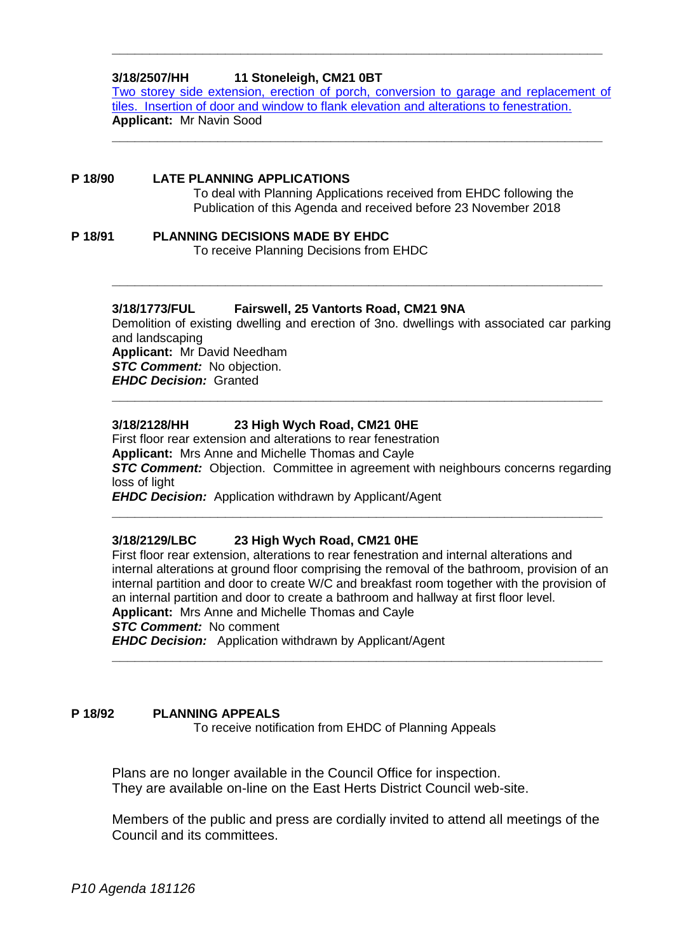#### **3/18/2507/HH 11 Stoneleigh, CM21 0BT**

[Two storey side extension, erection of porch, conversion to garage and replacement of](https://publicaccess.eastherts.gov.uk/online-applications/applicationDetails.do?activeTab=documents&keyVal=PI6XUVGLGTF00)  [tiles. Insertion of door and window to flank elevation and alterations to fenestration.](https://publicaccess.eastherts.gov.uk/online-applications/applicationDetails.do?activeTab=documents&keyVal=PI6XUVGLGTF00) **Applicant:** Mr Navin Sood

**\_\_\_\_\_\_\_\_\_\_\_\_\_\_\_\_\_\_\_\_\_\_\_\_\_\_\_\_\_\_\_\_\_\_\_\_\_\_\_\_\_\_\_\_\_\_\_\_\_\_\_\_\_\_\_\_\_\_\_\_\_\_\_\_\_**

**\_\_\_\_\_\_\_\_\_\_\_\_\_\_\_\_\_\_\_\_\_\_\_\_\_\_\_\_\_\_\_\_\_\_\_\_\_\_\_\_\_\_\_\_\_\_\_\_\_\_\_\_\_\_\_\_\_\_\_\_\_\_\_\_\_**

#### **P 18/90 LATE PLANNING APPLICATIONS**

To deal with Planning Applications received from EHDC following the Publication of this Agenda and received before 23 November 2018

**P 18/91 PLANNING DECISIONS MADE BY EHDC** To receive Planning Decisions from EHDC

#### **3/18/1773/FUL Fairswell, 25 Vantorts Road, CM21 9NA**

Demolition of existing dwelling and erection of 3no. dwellings with associated car parking and landscaping **Applicant:** Mr David Needham *STC Comment:* No objection. *EHDC Decision:* Granted

**\_\_\_\_\_\_\_\_\_\_\_\_\_\_\_\_\_\_\_\_\_\_\_\_\_\_\_\_\_\_\_\_\_\_\_\_\_\_\_\_\_\_\_\_\_\_\_\_\_\_\_\_\_\_\_\_\_\_\_\_\_\_\_\_\_**

**\_\_\_\_\_\_\_\_\_\_\_\_\_\_\_\_\_\_\_\_\_\_\_\_\_\_\_\_\_\_\_\_\_\_\_\_\_\_\_\_\_\_\_\_\_\_\_\_\_\_\_\_\_\_\_\_\_\_\_\_\_\_\_\_\_**

#### **3/18/2128/HH 23 High Wych Road, CM21 0HE**

First floor rear extension and alterations to rear fenestration **Applicant:** Mrs Anne and Michelle Thomas and Cayle **STC Comment:** Objection. Committee in agreement with neighbours concerns regarding loss of light *EHDC Decision:* Application withdrawn by Applicant/Agent

**\_\_\_\_\_\_\_\_\_\_\_\_\_\_\_\_\_\_\_\_\_\_\_\_\_\_\_\_\_\_\_\_\_\_\_\_\_\_\_\_\_\_\_\_\_\_\_\_\_\_\_\_\_\_\_\_\_\_\_\_\_\_\_\_\_**

## **3/18/2129/LBC 23 High Wych Road, CM21 0HE**

First floor rear extension, alterations to rear fenestration and internal alterations and internal alterations at ground floor comprising the removal of the bathroom, provision of an internal partition and door to create W/C and breakfast room together with the provision of an internal partition and door to create a bathroom and hallway at first floor level. **Applicant:** Mrs Anne and Michelle Thomas and Cayle

**\_\_\_\_\_\_\_\_\_\_\_\_\_\_\_\_\_\_\_\_\_\_\_\_\_\_\_\_\_\_\_\_\_\_\_\_\_\_\_\_\_\_\_\_\_\_\_\_\_\_\_\_\_\_\_\_\_\_\_\_\_\_\_\_\_**

*STC Comment:* No comment

*EHDC Decision:* Application withdrawn by Applicant/Agent

#### **P 18/92 PLANNING APPEALS**

To receive notification from EHDC of Planning Appeals

Plans are no longer available in the Council Office for inspection. They are available on-line on the East Herts District Council web-site.

Members of the public and press are cordially invited to attend all meetings of the Council and its committees.